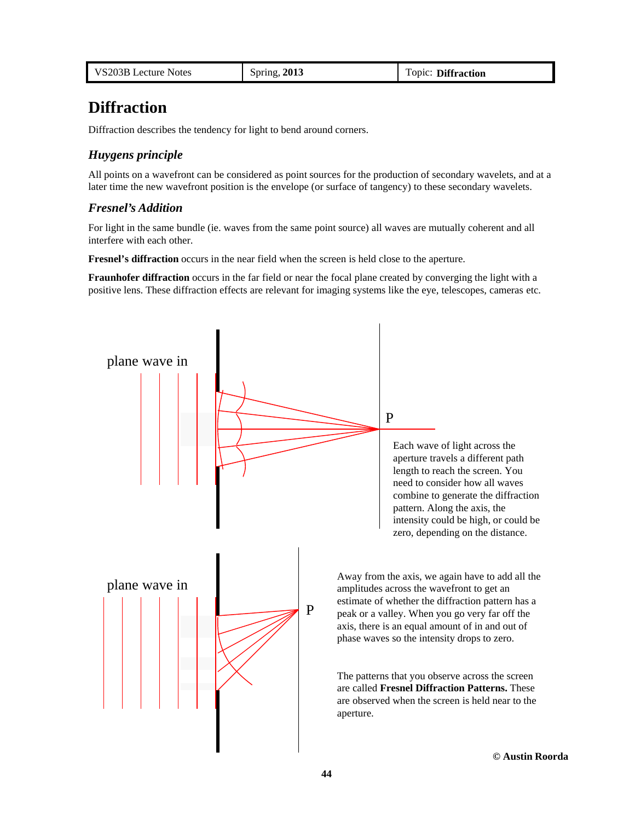| VS203B Lecture Notes | Spring, 2013 | Topic: Diffraction |
|----------------------|--------------|--------------------|
|----------------------|--------------|--------------------|

# **Diffraction**

Diffraction describes the tendency for light to bend around corners.

# *Huygens principle*

All points on a wavefront can be considered as point sources for the production of secondary wavelets, and at a later time the new wavefront position is the envelope (or surface of tangency) to these secondary wavelets.

# *Fresnel's Addition*

For light in the same bundle (ie. waves from the same point source) all waves are mutually coherent and all interfere with each other.

**Fresnel's diffraction** occurs in the near field when the screen is held close to the aperture.

**Fraunhofer diffraction** occurs in the far field or near the focal plane created by converging the light with a positive lens. These diffraction effects are relevant for imaging systems like the eye, telescopes, cameras etc.

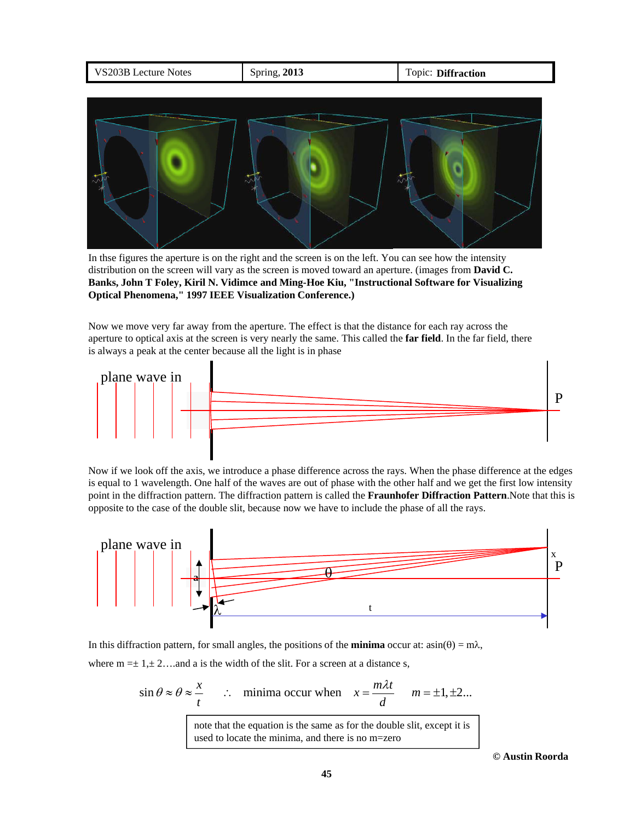| VS203B Lecture Notes | Spring, 2013 | Topic: Diffraction |
|----------------------|--------------|--------------------|
|                      |              |                    |



In thse figures the aperture is on the right and the screen is on the left. You can see how the intensity distribution on the screen will vary as the screen is moved toward an aperture. (images from **David C. Banks, John T Foley, Kiril N. Vidimce and Ming-Hoe Kiu, "Instructional Software for Visualizing Optical Phenomena," 1997 IEEE Visualization Conference.)**

Now we move very far away from the aperture. The effect is that the distance for each ray across the aperture to optical axis at the screen is very nearly the same. This called the **far field**. In the far field, there is always a peak at the center because all the light is in phase



Now if we look off the axis, we introduce a phase difference across the rays. When the phase difference at the edges is equal to 1 wavelength. One half of the waves are out of phase with the other half and we get the first low intensity point in the diffraction pattern. The diffraction pattern is called the **Fraunhofer Diffraction Pattern**.Note that this is opposite to the case of the double slit, because now we have to include the phase of all the rays.



In this diffraction pattern, for small angles, the positions of the **minima** occur at:  $a\sin(\theta) = m\lambda$ ,

where  $m = \pm 1, \pm 2, \ldots$  and a is the width of the slit. For a screen at a distance s,

$$
\sin \theta \approx \theta \approx \frac{x}{t}
$$
  $\therefore$  minima occur when  $x = \frac{m\lambda t}{d}$   $m = \pm 1, \pm 2...$   
note that the equation is the same as for the double slit, except it is  
used to locate the minima, and there is no m=zero

**© Austin Roorda**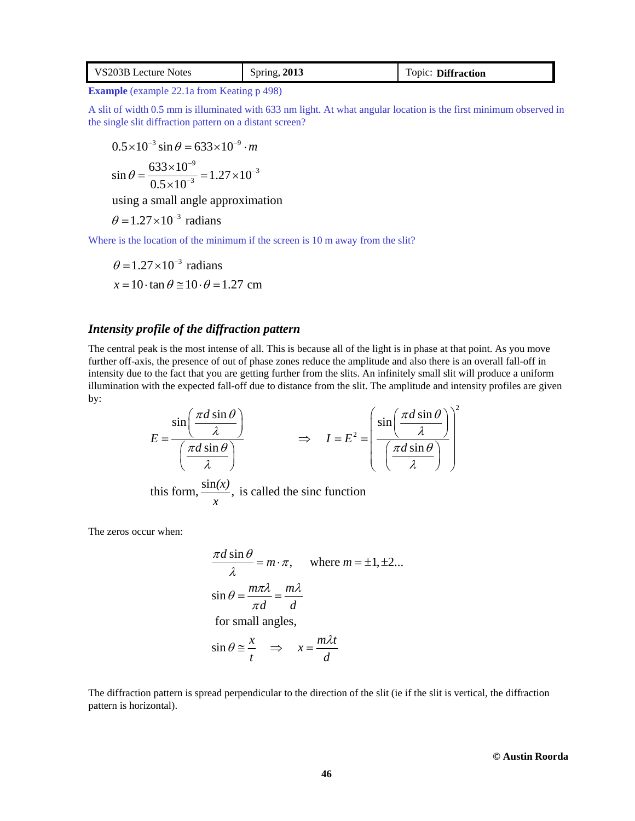| VS203B Lecture Notes | Spring, 2013 | Topic: Diffraction |
|----------------------|--------------|--------------------|
|----------------------|--------------|--------------------|

**Example** (example 22.1a from Keating p 498)

A slit of width 0.5 mm is illuminated with 633 nm light. At what angular location is the first minimum observed in the single slit diffraction pattern on a distant screen?

$$
0.5 \times 10^{-3} \sin \theta = 633 \times 10^{-9} \cdot m
$$
  

$$
\sin \theta = \frac{633 \times 10^{-9}}{0.5 \times 10^{-3}} = 1.27 \times 10^{-3}
$$

using a small angle approximation

 $\theta = 1.27 \times 10^{-3}$  radians

 $0.5 \times 10^{-7}$ 

 $\times$ 

Where is the location of the minimum if the screen is 10 m away from the slit?

$$
\theta = 1.27 \times 10^{-3} \text{ radians}
$$
  
x = 10 \cdot \tan \theta \approx 10 \cdot \theta = 1.27 \text{ cm}

## *Intensity profile of the diffraction pattern*

The central peak is the most intense of all. This is because all of the light is in phase at that point. As you move further off-axis, the presence of out of phase zones reduce the amplitude and also there is an overall fall-off in intensity due to the fact that you are getting further from the slits. An infinitely small slit will produce a uniform illumination with the expected fall-off due to distance from the slit. The amplitude and intensity profiles are given by:  $\sqrt{2}$ 

$$
E = \frac{\sin\left(\frac{\pi d \sin \theta}{\lambda}\right)}{\left(\frac{\pi d \sin \theta}{\lambda}\right)} \implies I = E^2 = \left(\frac{\sin\left(\frac{\pi d \sin \theta}{\lambda}\right)}{\left(\frac{\pi d \sin \theta}{\lambda}\right)}\right)
$$
  
this form,  $\frac{\sin(x)}{x}$ , is called the sinc function

The zeros occur when:

$$
\frac{\pi d \sin \theta}{\lambda} = m \cdot \pi, \quad \text{where } m = \pm 1, \pm 2...
$$
  

$$
\sin \theta = \frac{m \pi \lambda}{\pi d} = \frac{m \lambda}{d}
$$
  
for small angles,  

$$
\sin \theta \approx \frac{x}{t} \implies x = \frac{m \lambda t}{d}
$$

The diffraction pattern is spread perpendicular to the direction of the slit (ie if the slit is vertical, the diffraction pattern is horizontal).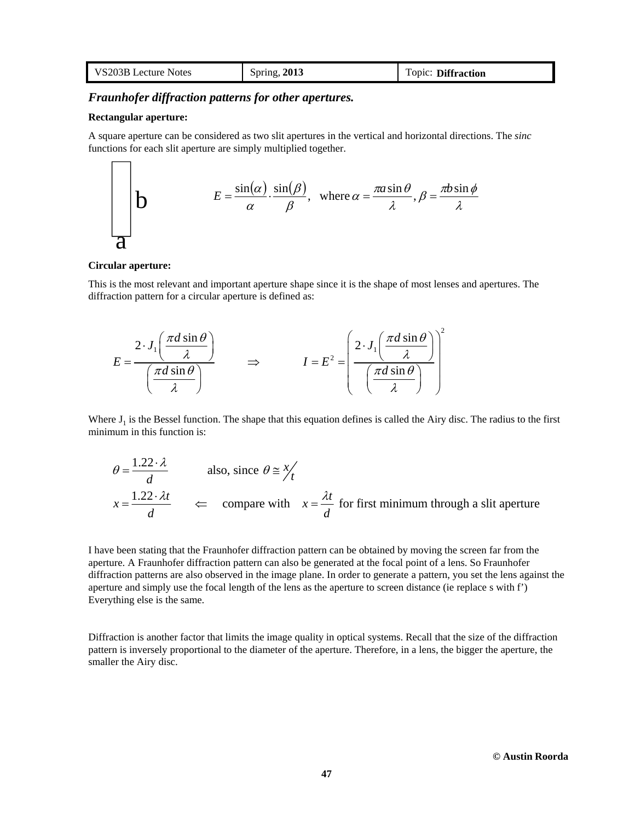| VS203B Lecture Notes | Spring, 2013 | Topic: Diffraction |
|----------------------|--------------|--------------------|
|----------------------|--------------|--------------------|

# *Fraunhofer diffraction patterns for other apertures.*

#### **Rectangular aperture:**

 $\Gamma$ ᄀ

A square aperture can be considered as two slit apertures in the vertical and horizontal directions. The *sinc* functions for each slit aperture are simply multiplied together.

**b** 
$$
E = \frac{\sin(\alpha)}{\alpha} \cdot \frac{\sin(\beta)}{\beta}, \text{ where } \alpha = \frac{\pi a \sin \theta}{\lambda}, \beta = \frac{\pi b \sin \phi}{\lambda}
$$

#### **Circular aperture:**

This is the most relevant and important aperture shape since it is the shape of most lenses and apertures. The diffraction pattern for a circular aperture is defined as:

$$
E = \frac{2 \cdot J_1 \left(\frac{\pi d \sin \theta}{\lambda}\right)}{\left(\frac{\pi d \sin \theta}{\lambda}\right)} \qquad \Rightarrow \qquad I = E^2 = \left(\frac{2 \cdot J_1 \left(\frac{\pi d \sin \theta}{\lambda}\right)}{\left(\frac{\pi d \sin \theta}{\lambda}\right)}\right)^2
$$

Where  $J_1$  is the Bessel function. The shape that this equation defines is called the Airy disc. The radius to the first minimum in this function is:

$$
\theta = \frac{1.22 \cdot \lambda}{d}
$$
 also, since  $\theta \approx \frac{x}{t}$   
 $x = \frac{1.22 \cdot \lambda t}{d}$   $\Leftarrow$  compare with  $x = \frac{\lambda t}{d}$  for first minimum through a slit aperture

I have been stating that the Fraunhofer diffraction pattern can be obtained by moving the screen far from the aperture. A Fraunhofer diffraction pattern can also be generated at the focal point of a lens. So Fraunhofer diffraction patterns are also observed in the image plane. In order to generate a pattern, you set the lens against the aperture and simply use the focal length of the lens as the aperture to screen distance (ie replace s with f') Everything else is the same.

Diffraction is another factor that limits the image quality in optical systems. Recall that the size of the diffraction pattern is inversely proportional to the diameter of the aperture. Therefore, in a lens, the bigger the aperture, the smaller the Airy disc.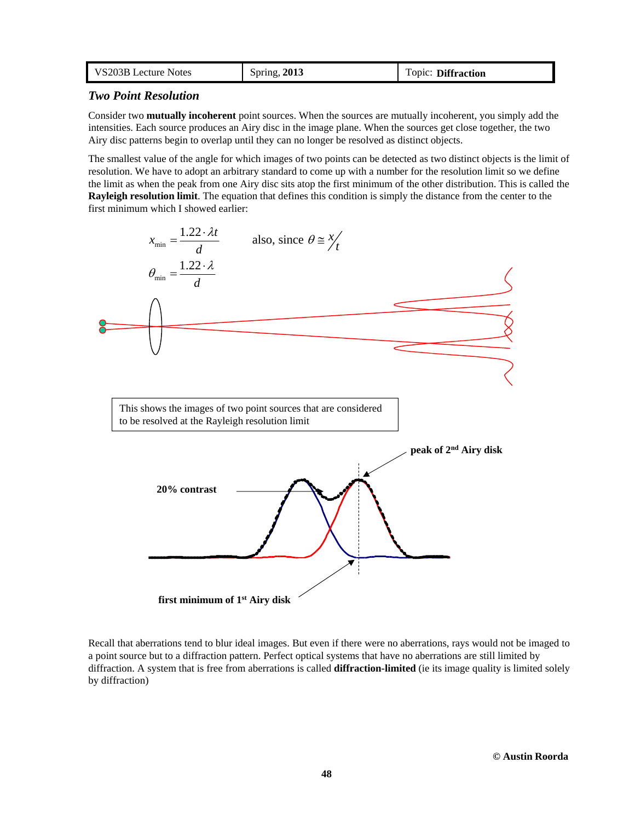| VS203B Lecture Notes | Spring, 2013 | Topic: Diffraction |
|----------------------|--------------|--------------------|
|----------------------|--------------|--------------------|

### *Two Point Resolution*

Consider two **mutually incoherent** point sources. When the sources are mutually incoherent, you simply add the intensities. Each source produces an Airy disc in the image plane. When the sources get close together, the two Airy disc patterns begin to overlap until they can no longer be resolved as distinct objects.

The smallest value of the angle for which images of two points can be detected as two distinct objects is the limit of resolution. We have to adopt an arbitrary standard to come up with a number for the resolution limit so we define the limit as when the peak from one Airy disc sits atop the first minimum of the other distribution. This is called the **Rayleigh resolution limit**. The equation that defines this condition is simply the distance from the center to the first minimum which I showed earlier:



Recall that aberrations tend to blur ideal images. But even if there were no aberrations, rays would not be imaged to a point source but to a diffraction pattern. Perfect optical systems that have no aberrations are still limited by diffraction. A system that is free from aberrations is called **diffraction-limited** (ie its image quality is limited solely by diffraction)